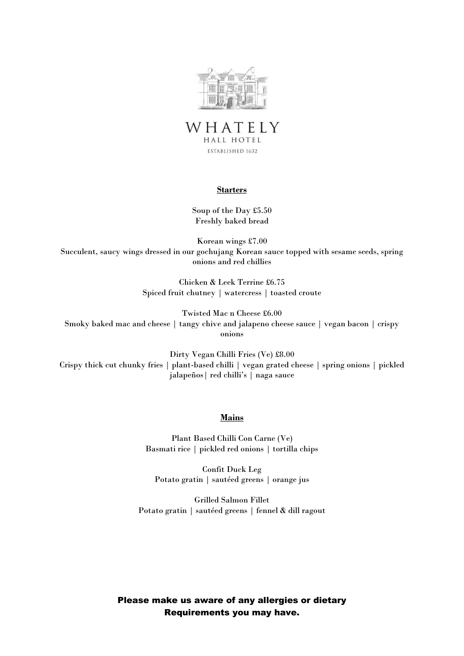



## **Starters**

Soup of the Day £5.50 Freshly baked bread

Korean wings £7.00 Succulent, saucy wings dressed in our gochujang Korean sauce topped with sesame seeds, spring onions and red chillies

> Chicken & Leek Terrine £6.75 Spiced fruit chutney | watercress | toasted croute

Twisted Mac n Cheese £6.00 Smoky baked mac and cheese | tangy chive and jalapeno cheese sauce | vegan bacon | crispy onions

Dirty Vegan Chilli Fries (Ve) £8.00 Crispy thick cut chunky fries | plant-based chilli | vegan grated cheese | spring onions | pickled jalapeños| red chilli's | naga sauce

## **Mains**

Plant Based Chilli Con Carne (Ve) Basmati rice | pickled red onions | tortilla chips

Confit Duck Leg Potato gratin | sautéed greens | orange jus

Grilled Salmon Fillet Potato gratin | sautéed greens | fennel & dill ragout

Please make us aware of any allergies or dietary Requirements you may have.